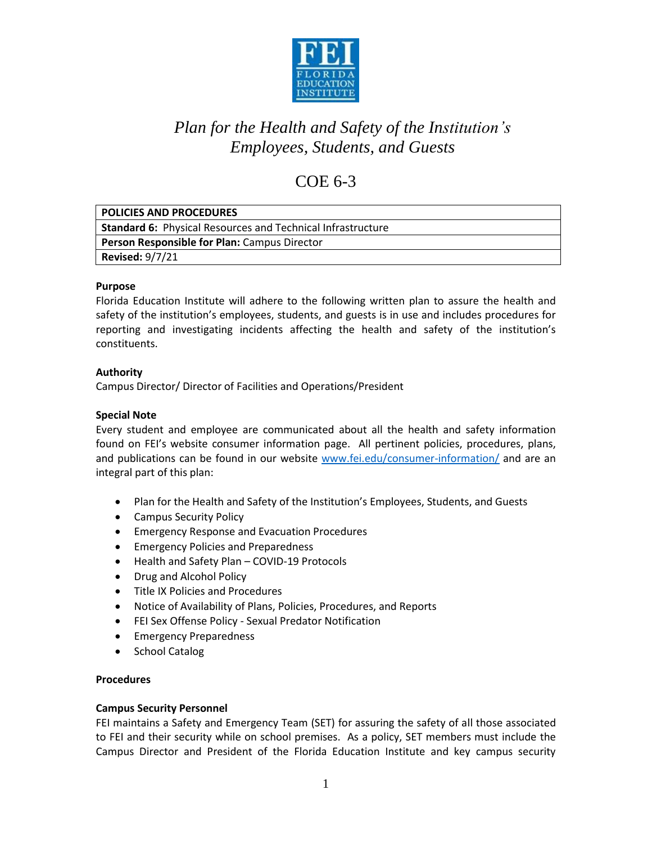

### COE 6-3

| <b>POLICIES AND PROCEDURES</b>                                     |
|--------------------------------------------------------------------|
| <b>Standard 6: Physical Resources and Technical Infrastructure</b> |
| <b>Person Responsible for Plan: Campus Director</b>                |
| <b>Revised: 9/7/21</b>                                             |

### **Purpose**

Florida Education Institute will adhere to the following written plan to assure the health and safety of the institution's employees, students, and guests is in use and includes procedures for reporting and investigating incidents affecting the health and safety of the institution's constituents.

### **Authority**

Campus Director/ Director of Facilities and Operations/President

### **Special Note**

Every student and employee are communicated about all the health and safety information found on FEI's website consumer information page. All pertinent policies, procedures, plans, and publications can be found in our website [www.fei.edu/consumer-information/](http://www.fei.edu/consumer-information/) and are an integral part of this plan:

- Plan for the Health and Safety of the Institution's Employees, Students, and Guests
- Campus Security Policy
- Emergency Response and Evacuation Procedures
- Emergency Policies and Preparedness
- Health and Safety Plan COVID-19 Protocols
- Drug and Alcohol Policy
- Title IX Policies and Procedures
- Notice of Availability of Plans, Policies, Procedures, and Reports
- FEI Sex Offense Policy Sexual Predator Notification
- Emergency Preparedness
- School Catalog

### **Procedures**

### **Campus Security Personnel**

FEI maintains a Safety and Emergency Team (SET) for assuring the safety of all those associated to FEI and their security while on school premises. As a policy, SET members must include the Campus Director and President of the Florida Education Institute and key campus security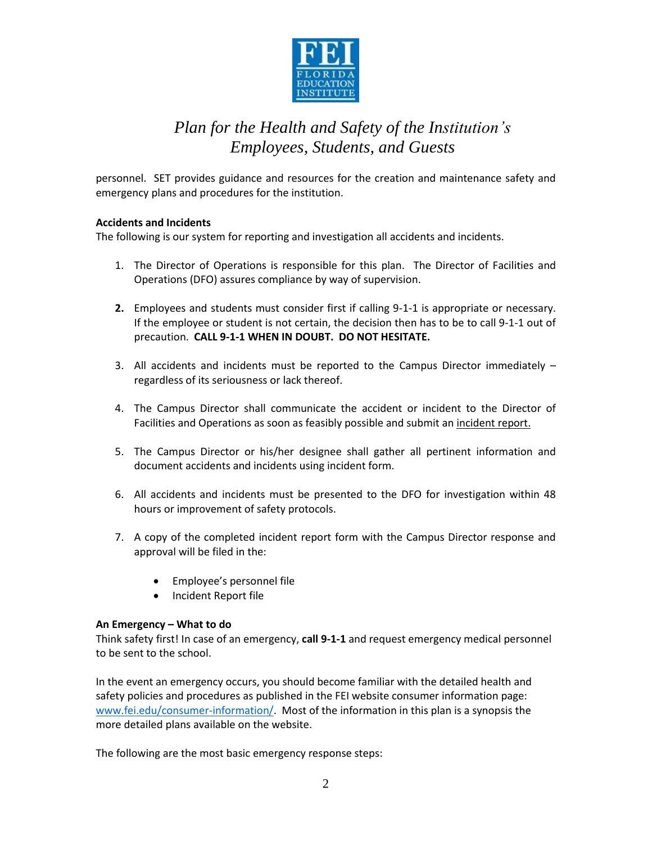

personnel. SET provides guidance and resources for the creation and maintenance safety and emergency plans and procedures for the institution.

### **Accidents and Incidents**

The following is our system for reporting and investigation all accidents and incidents.

- 1. The Director of Operations is responsible for this plan. The Director of Facilities and Operations (DFO) assures compliance by way of supervision.
- **2.** Employees and students must consider first if calling 9-1-1 is appropriate or necessary. If the employee or student is not certain, the decision then has to be to call 9-1-1 out of precaution. **CALL 9-1-1 WHEN IN DOUBT. DO NOT HESITATE.**
- 3. All accidents and incidents must be reported to the Campus Director immediately regardless of its seriousness or lack thereof.
- 4. The Campus Director shall communicate the accident or incident to the Director of Facilities and Operations as soon as feasibly possible and submit an incident report.
- 5. The Campus Director or his/her designee shall gather all pertinent information and document accidents and incidents using incident form.
- 6. All accidents and incidents must be presented to the DFO for investigation within 48 hours or improvement of safety protocols.
- 7. A copy of the completed incident report form with the Campus Director response and approval will be filed in the:
	- Employee's personnel file
	- Incident Report file

### **An Emergency – What to do**

Think safety first! In case of an emergency, **call 9-1-1** and request emergency medical personnel to be sent to the school.

In the event an emergency occurs, you should become familiar with the detailed health and safety policies and procedures as published in the FEI website consumer information page: [www.fei.edu/consumer-information/.](http://www.fei.edu/consumer-information/) Most of the information in this plan is a synopsis the more detailed plans available on the website.

The following are the most basic emergency response steps: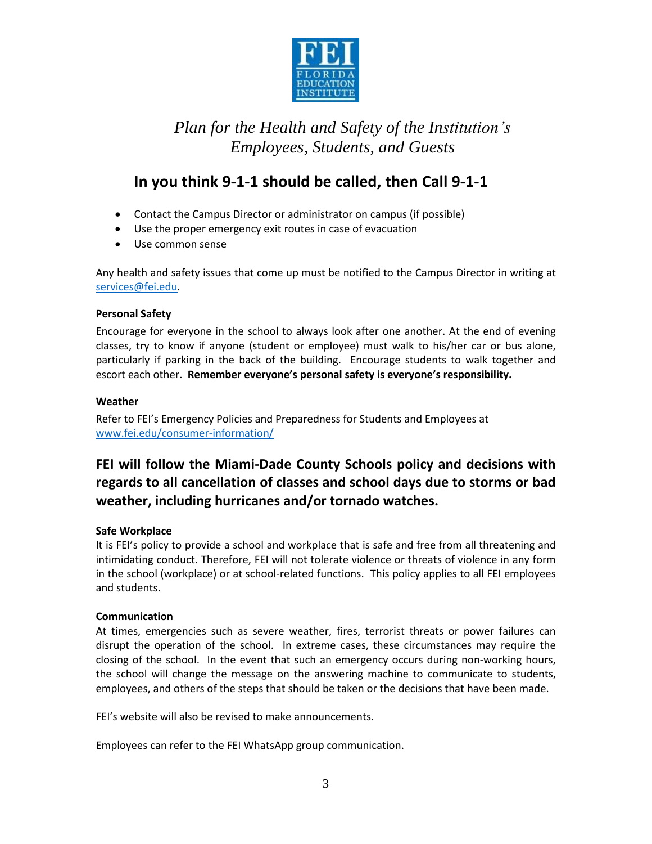

### **In you think 9-1-1 should be called, then Call 9-1-1**

- Contact the Campus Director or administrator on campus (if possible)
- Use the proper emergency exit routes in case of evacuation
- Use common sense

Any health and safety issues that come up must be notified to the Campus Director in writing at [services@fei.edu.](mailto:services@fei.edu)

### **Personal Safety**

Encourage for everyone in the school to always look after one another. At the end of evening classes, try to know if anyone (student or employee) must walk to his/her car or bus alone, particularly if parking in the back of the building. Encourage students to walk together and escort each other. **Remember everyone's personal safety is everyone's responsibility.** 

### **Weather**

Refer to FEI's Emergency Policies and Preparedness for Students and Employees at [www.fei.edu/consumer-information/](http://www.fei.edu/consumer-information/)

### **FEI will follow the Miami-Dade County Schools policy and decisions with regards to all cancellation of classes and school days due to storms or bad weather, including hurricanes and/or tornado watches.**

### **Safe Workplace**

It is FEI's policy to provide a school and workplace that is safe and free from all threatening and intimidating conduct. Therefore, FEI will not tolerate violence or threats of violence in any form in the school (workplace) or at school-related functions. This policy applies to all FEI employees and students.

### **Communication**

At times, emergencies such as severe weather, fires, terrorist threats or power failures can disrupt the operation of the school. In extreme cases, these circumstances may require the closing of the school. In the event that such an emergency occurs during non-working hours, the school will change the message on the answering machine to communicate to students, employees, and others of the steps that should be taken or the decisions that have been made.

FEI's website will also be revised to make announcements.

Employees can refer to the FEI WhatsApp group communication.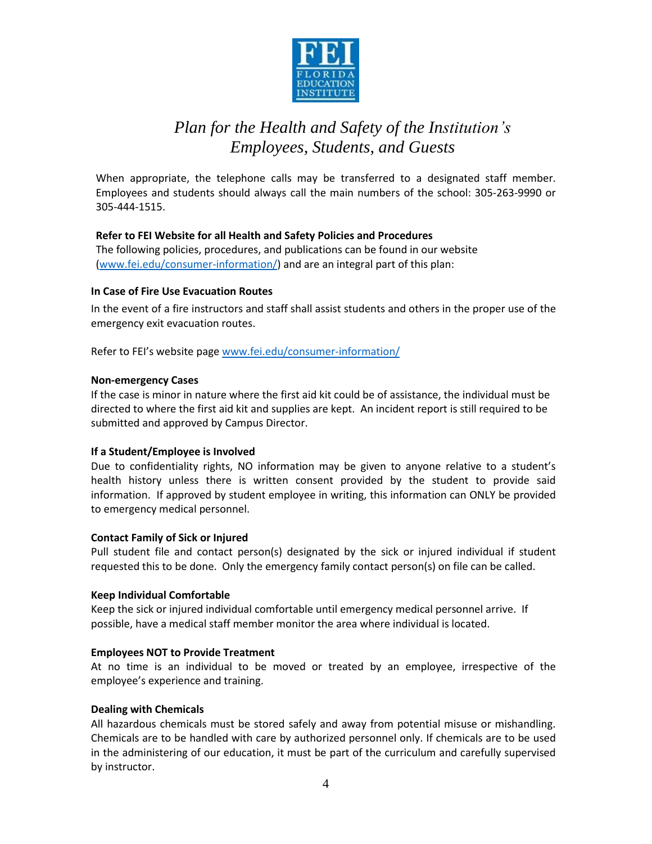

When appropriate, the telephone calls may be transferred to a designated staff member. Employees and students should always call the main numbers of the school: 305-263-9990 or 305-444-1515.

### **Refer to FEI Website for all Health and Safety Policies and Procedures**

The following policies, procedures, and publications can be found in our website [\(www.fei.edu/consumer-information/\)](http://www.fei.edu/consumer-information/) and are an integral part of this plan:

### **In Case of Fire Use Evacuation Routes**

In the event of a fire instructors and staff shall assist students and others in the proper use of the emergency exit evacuation routes.

Refer to FEI's website pag[e www.fei.edu/consumer-information/](http://www.fei.edu/consumer-information/)

#### **Non-emergency Cases**

If the case is minor in nature where the first aid kit could be of assistance, the individual must be directed to where the first aid kit and supplies are kept. An incident report is still required to be submitted and approved by Campus Director.

### **If a Student/Employee is Involved**

Due to confidentiality rights, NO information may be given to anyone relative to a student's health history unless there is written consent provided by the student to provide said information. If approved by student employee in writing, this information can ONLY be provided to emergency medical personnel.

### **Contact Family of Sick or Injured**

Pull student file and contact person(s) designated by the sick or injured individual if student requested this to be done. Only the emergency family contact person(s) on file can be called.

### **Keep Individual Comfortable**

Keep the sick or injured individual comfortable until emergency medical personnel arrive. If possible, have a medical staff member monitor the area where individual is located.

### **Employees NOT to Provide Treatment**

At no time is an individual to be moved or treated by an employee, irrespective of the employee's experience and training.

### **Dealing with Chemicals**

All hazardous chemicals must be stored safely and away from potential misuse or mishandling. Chemicals are to be handled with care by authorized personnel only. If chemicals are to be used in the administering of our education, it must be part of the curriculum and carefully supervised by instructor.